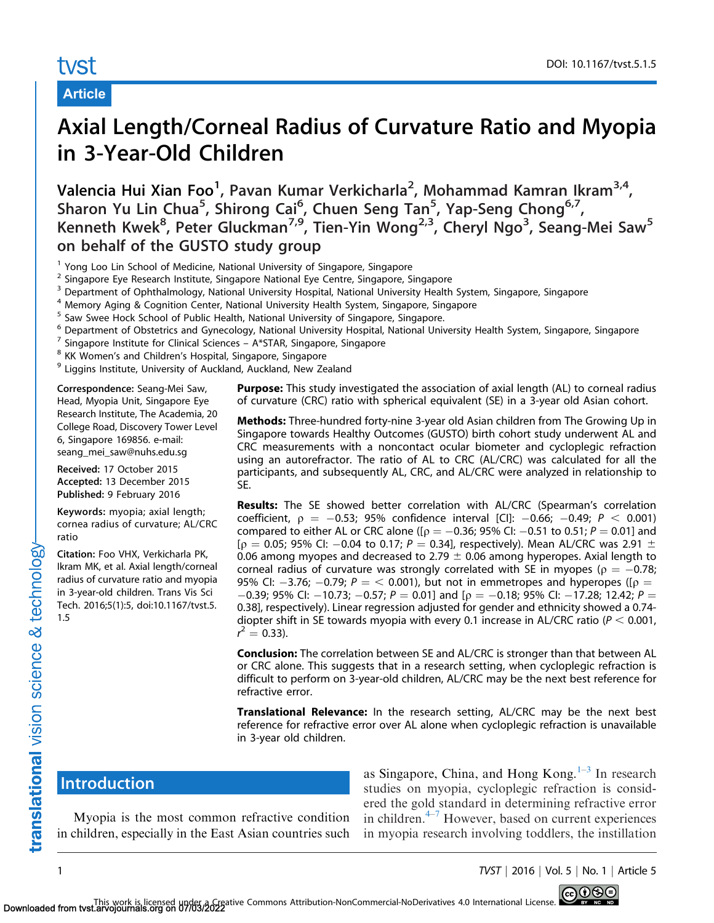Article

# Axial Length/Corneal Radius of Curvature Ratio and Myopia in 3-Year-Old Children

Valencia Hui Xian Foo<sup>1</sup>, Pavan Kumar Verkicharla<sup>2</sup>, Mohammad Kamran Ikram<sup>3,4</sup>, Sharon Yu Lin Chua<sup>5</sup>, Shirong Cai<sup>6</sup>, Chuen Seng Tan<sup>5</sup>, Yap-Seng Chong<sup>6,7</sup>, Kenneth Kwek<sup>8</sup>, Peter Gluckman<sup>7,9</sup>, Tien-Yin Wong<sup>2,3</sup>, Cheryl Ngo<sup>3</sup>, Seang-Mei Saw<sup>5</sup> on behalf of the GUSTO study group

<sup>1</sup> Yong Loo Lin School of Medicine, National University of Singapore, Singapore

<sup>2</sup> Singapore Eye Research Institute, Singapore National Eye Centre, Singapore, Singapore

- <sup>3</sup> Department of Ophthalmology, National University Hospital, National University Health System, Singapore, Singapore
- <sup>4</sup> Memory Aging & Cognition Center, National University Health System, Singapore, Singapore
- <sup>5</sup> Saw Swee Hock School of Public Health, National University of Singapore, Singapore.
- <sup>6</sup> Department of Obstetrics and Gynecology, National University Hospital, National University Health System, Singapore, Singapore
- $^7$  Singapore Institute for Clinical Sciences A\*STAR, Singapore, Singapore
- <sup>8</sup> KK Women's and Children's Hospital, Singapore, Singapore

<sup>9</sup> Liggins Institute, University of Auckland, Auckland, New Zealand

Correspondence: Seang-Mei Saw, Head, Myopia Unit, Singapore Eye Research Institute, The Academia, 20 College Road, Discovery Tower Level 6, Singapore 169856. e-mail: seang\_mei\_saw@nuhs.edu.sg

Received: 17 October 2015 Accepted: 13 December 2015 Published: 9 February 2016

Keywords: myopia; axial length; cornea radius of curvature; AL/CRC ratio

Citation: Foo VHX, Verkicharla PK, Ikram MK, et al. Axial length/corneal radius of curvature ratio and myopia in 3-year-old children. Trans Vis Sci Tech. 2016;5(1):5, doi:10.1167/tvst.5. 1.5

**Purpose:** This study investigated the association of axial length (AL) to corneal radius of curvature (CRC) ratio with spherical equivalent (SE) in a 3-year old Asian cohort.

Methods: Three-hundred forty-nine 3-year old Asian children from The Growing Up in Singapore towards Healthy Outcomes (GUSTO) birth cohort study underwent AL and CRC measurements with a noncontact ocular biometer and cycloplegic refraction using an autorefractor. The ratio of AL to CRC (AL/CRC) was calculated for all the participants, and subsequently AL, CRC, and AL/CRC were analyzed in relationship to SE.

Results: The SE showed better correlation with AL/CRC (Spearman's correlation coefficient,  $\rho = -0.53$ ; 95% confidence interval [CI]:  $-0.66$ ;  $-0.49$ ;  $P < 0.001$ ) compared to either AL or CRC alone ([ $\rho = -0.36$ ; 95% CI:  $-0.51$  to 0.51;  $P = 0.01$ ] and [ $\rho =$  0.05; 95% CI:  $-$ 0.04 to 0.17; P  $=$  0.34], respectively). Mean AL/CRC was 2.91  $\pm$ 0.06 among myopes and decreased to 2.79  $\pm$  0.06 among hyperopes. Axial length to corneal radius of curvature was strongly correlated with SE in myopes ( $\rho = -0.78;$ 95% CI:  $-3.76$ ;  $-0.79$ ;  $P =$   $<$  0.001), but not in emmetropes and hyperopes ([ $\rho =$  $-0.39$ ; 95% CI:  $-10.73$ ;  $-0.57$ ;  $P = 0.01$ ] and [ $\rho = -0.18$ ; 95% CI:  $-17.28$ ; 12.42;  $P =$ 0.38], respectively). Linear regression adjusted for gender and ethnicity showed a 0.74 diopter shift in SE towards myopia with every 0.1 increase in AL/CRC ratio ( $P < 0.001$ ,  $r^2 = 0.33$ ).

Conclusion: The correlation between SE and AL/CRC is stronger than that between AL or CRC alone. This suggests that in a research setting, when cycloplegic refraction is difficult to perform on 3-year-old children, AL/CRC may be the next best reference for refractive error.

Translational Relevance: In the research setting, AL/CRC may be the next best reference for refractive error over AL alone when cycloplegic refraction is unavailable in 3-year old children.

# **Introduction**

Myopia is the most common refractive condition in children, especially in the East Asian countries such

as Singapore, China, and Hong Kong. $1-3$  In research studies on myopia, cycloplegic refraction is considered the gold standard in determining refractive error in children. $4-7$  $4-7$  However, based on current experiences in myopia research involving toddlers, the instillation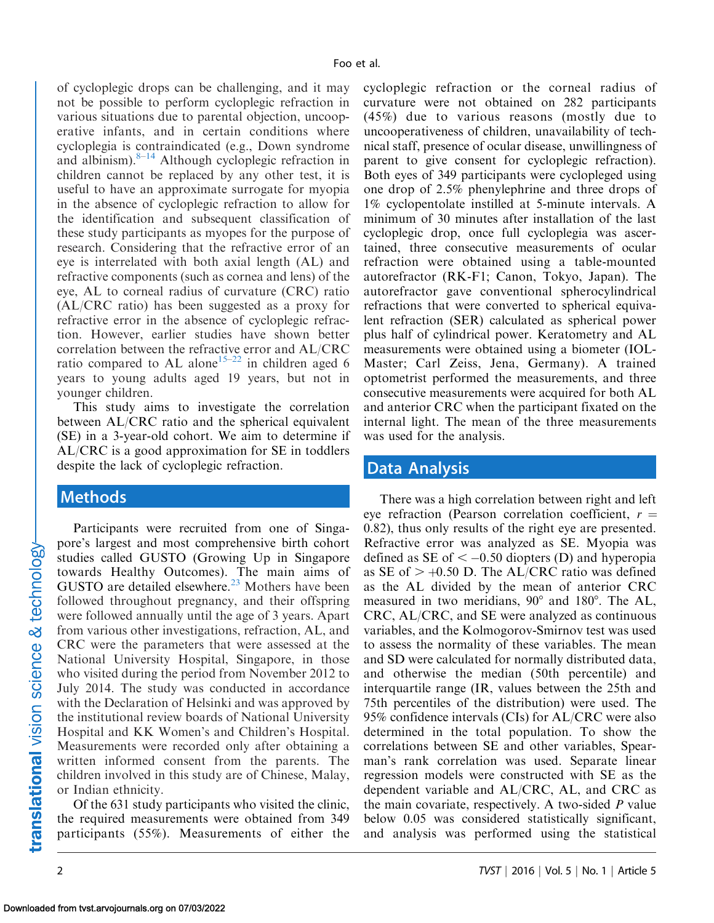of cycloplegic drops can be challenging, and it may not be possible to perform cycloplegic refraction in various situations due to parental objection, uncooperative infants, and in certain conditions where cycloplegia is contraindicated (e.g., Down syndrome and albinism). $8-14$  Although cycloplegic refraction in children cannot be replaced by any other test, it is useful to have an approximate surrogate for myopia in the absence of cycloplegic refraction to allow for the identification and subsequent classification of these study participants as myopes for the purpose of research. Considering that the refractive error of an eye is interrelated with both axial length (AL) and refractive components (such as cornea and lens) of the eye, AL to corneal radius of curvature (CRC) ratio (AL/CRC ratio) has been suggested as a proxy for refractive error in the absence of cycloplegic refraction. However, earlier studies have shown better correlation between the refractive error and AL/CRC ratio compared to AL alone<sup>[15–22](#page-5-0)</sup> in children aged 6 years to young adults aged 19 years, but not in younger children.

This study aims to investigate the correlation between AL/CRC ratio and the spherical equivalent (SE) in a 3-year-old cohort. We aim to determine if AL/CRC is a good approximation for SE in toddlers despite the lack of cycloplegic refraction.

# Methods

Participants were recruited from one of Singapore's largest and most comprehensive birth cohort studies called GUSTO (Growing Up in Singapore towards Healthy Outcomes). The main aims of GUSTO are detailed elsewhere. $^{23}$  $^{23}$  $^{23}$  Mothers have been followed throughout pregnancy, and their offspring were followed annually until the age of 3 years. Apart from various other investigations, refraction, AL, and CRC were the parameters that were assessed at the National University Hospital, Singapore, in those who visited during the period from November 2012 to July 2014. The study was conducted in accordance with the Declaration of Helsinki and was approved by the institutional review boards of National University Hospital and KK Women's and Children's Hospital. Measurements were recorded only after obtaining a written informed consent from the parents. The children involved in this study are of Chinese, Malay, or Indian ethnicity.

Of the 631 study participants who visited the clinic, the required measurements were obtained from 349 participants (55%). Measurements of either the cycloplegic refraction or the corneal radius of curvature were not obtained on 282 participants (45%) due to various reasons (mostly due to uncooperativeness of children, unavailability of technical staff, presence of ocular disease, unwillingness of parent to give consent for cycloplegic refraction). Both eyes of 349 participants were cyclopleged using one drop of 2.5% phenylephrine and three drops of 1% cyclopentolate instilled at 5-minute intervals. A minimum of 30 minutes after installation of the last cycloplegic drop, once full cycloplegia was ascertained, three consecutive measurements of ocular refraction were obtained using a table-mounted autorefractor (RK-F1; Canon, Tokyo, Japan). The autorefractor gave conventional spherocylindrical refractions that were converted to spherical equivalent refraction (SER) calculated as spherical power plus half of cylindrical power. Keratometry and AL measurements were obtained using a biometer (IOL-Master; Carl Zeiss, Jena, Germany). A trained optometrist performed the measurements, and three consecutive measurements were acquired for both AL and anterior CRC when the participant fixated on the internal light. The mean of the three measurements was used for the analysis.

## Data Analysis

There was a high correlation between right and left eye refraction (Pearson correlation coefficient,  $r =$ 0.82), thus only results of the right eye are presented. Refractive error was analyzed as SE. Myopia was defined as SE of  $\leq -0.50$  diopters (D) and hyperopia as SE of  $> +0.50$  D. The AL/CRC ratio was defined as the AL divided by the mean of anterior CRC measured in two meridians,  $90^{\circ}$  and  $180^{\circ}$ . The AL, CRC, AL/CRC, and SE were analyzed as continuous variables, and the Kolmogorov-Smirnov test was used to assess the normality of these variables. The mean and SD were calculated for normally distributed data, and otherwise the median (50th percentile) and interquartile range (IR, values between the 25th and 75th percentiles of the distribution) were used. The 95% confidence intervals (CIs) for AL/CRC were also determined in the total population. To show the correlations between SE and other variables, Spearman's rank correlation was used. Separate linear regression models were constructed with SE as the dependent variable and AL/CRC, AL, and CRC as the main covariate, respectively. A two-sided P value below 0.05 was considered statistically significant, and analysis was performed using the statistical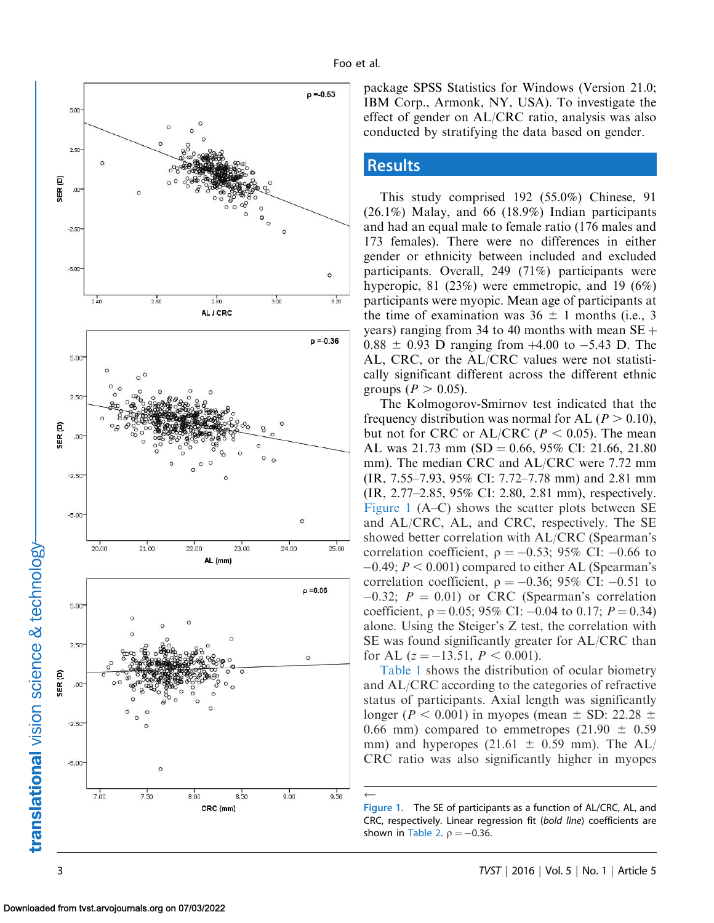

package SPSS Statistics for Windows (Version 21.0; IBM Corp., Armonk, NY, USA). To investigate the effect of gender on AL/CRC ratio, analysis was also conducted by stratifying the data based on gender.

#### **Results**

This study comprised 192 (55.0%) Chinese, 91 (26.1%) Malay, and 66 (18.9%) Indian participants and had an equal male to female ratio (176 males and 173 females). There were no differences in either gender or ethnicity between included and excluded participants. Overall, 249 (71%) participants were hyperopic, 81 (23%) were emmetropic, and 19 (6%) participants were myopic. Mean age of participants at the time of examination was  $36 \pm 1$  months (i.e., 3) years) ranging from 34 to 40 months with mean  $SE +$  $0.88 \pm 0.93$  D ranging from  $+4.00$  to  $-5.43$  D. The AL, CRC, or the AL/CRC values were not statistically significant different across the different ethnic groups  $(P > 0.05)$ .

The Kolmogorov-Smirnov test indicated that the frequency distribution was normal for AL ( $P > 0.10$ ), but not for CRC or AL/CRC ( $P < 0.05$ ). The mean AL was  $21.73$  mm (SD = 0.66, 95% CI: 21.66, 21.80 mm). The median CRC and AL/CRC were 7.72 mm (IR, 7.55–7.93, 95% CI: 7.72–7.78 mm) and 2.81 mm (IR, 2.77–2.85, 95% CI: 2.80, 2.81 mm), respectively. Figure 1 (A–C) shows the scatter plots between SE and AL/CRC, AL, and CRC, respectively. The SE showed better correlation with AL/CRC (Spearman's correlation coefficient,  $\rho = -0.53$ ; 95% CI:  $-0.66$  to  $-0.49; P < 0.001$ ) compared to either AL (Spearman's correlation coefficient,  $\rho = -0.36$ ; 95% CI:  $-0.51$  to  $-0.32$ ;  $P = 0.01$ ) or CRC (Spearman's correlation coefficient,  $p = 0.05$ ; 95% CI:  $-0.04$  to 0.17;  $P = 0.34$ ) alone. Using the Steiger's Z test, the correlation with SE was found significantly greater for AL/CRC than for AL  $(z = -13.51, P < 0.001)$ .

[Table 1](#page-3-0) shows the distribution of ocular biometry and AL/CRC according to the categories of refractive status of participants. Axial length was significantly longer ( $P < 0.001$ ) in myopes (mean  $\pm$  SD: 22.28  $\pm$ 0.66 mm) compared to emmetropes  $(21.90 \pm 0.59)$ mm) and hyperopes (21.61  $\pm$  0.59 mm). The AL/ CRC ratio was also significantly higher in myopes

 $\leftarrow$ Figure 1. The SE of participants as a function of AL/CRC, AL, and CRC, respectively. Linear regression fit (bold line) coefficients are shown in [Table 2](#page-3-0).  $\rho = -0.36$ .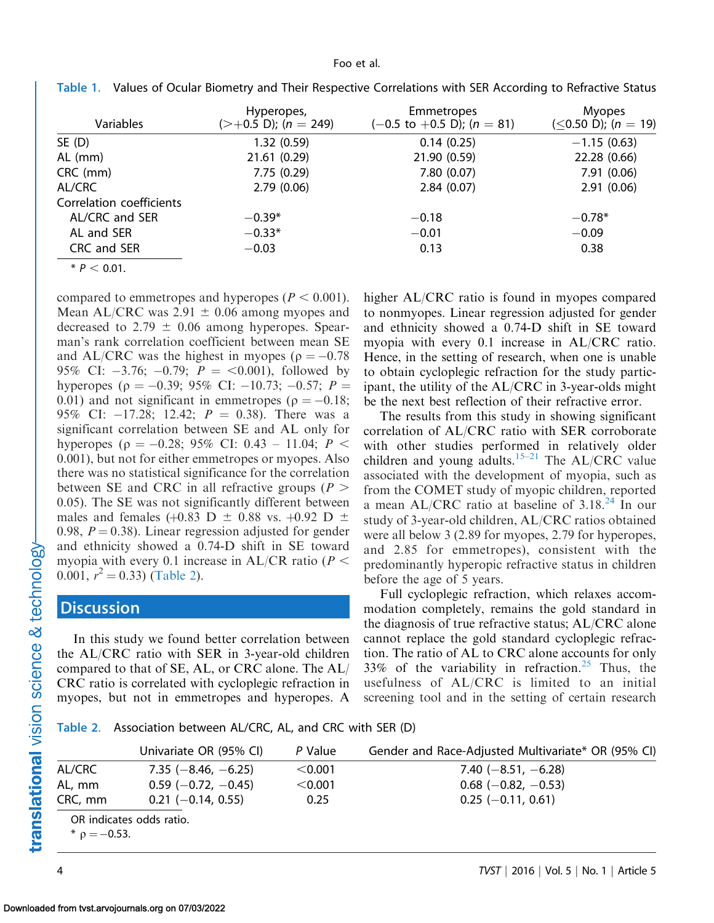| Variables                                                             | Hyperopes,<br>$(>+0.5$ D); (n = 249) | <b>Emmetropes</b><br>$(-0.5 \text{ to } +0.5 \text{ D}); (n = 81)$ | <b>Myopes</b><br>$(\leq 0.50 \text{ D}); (n = 19)$ |
|-----------------------------------------------------------------------|--------------------------------------|--------------------------------------------------------------------|----------------------------------------------------|
| SE (D)                                                                | 1.32(0.59)                           | 0.14(0.25)                                                         | $-1.15(0.63)$                                      |
| $AL$ (mm)                                                             | 21.61 (0.29)                         | 21.90 (0.59)                                                       | 22.28 (0.66)                                       |
| CRC (mm)                                                              | 7.75(0.29)                           | 7.80(0.07)                                                         | 7.91 (0.06)                                        |
| AL/CRC                                                                | 2.79(0.06)                           | 2.84(0.07)                                                         | 2.91(0.06)                                         |
| Correlation coefficients                                              |                                      |                                                                    |                                                    |
| AL/CRC and SER                                                        | $-0.39*$                             | $-0.18$                                                            | $-0.78*$                                           |
| AL and SER                                                            | $-0.33*$                             | $-0.01$                                                            | $-0.09$                                            |
| CRC and SER                                                           | $-0.03$                              | 0.13                                                               | 0.38                                               |
| $\mathcal{L}$ $\mathcal{L}$ $\mathcal{L}$ $\mathcal{L}$ $\mathcal{L}$ |                                      |                                                                    |                                                    |

<span id="page-3-0"></span>Table 1. Values of Ocular Biometry and Their Respective Correlations with SER According to Refractive Status

 $*$   $P < 0.01$ .

compared to emmetropes and hyperopes ( $P < 0.001$ ). Mean AL/CRC was  $2.91 \pm 0.06$  among myopes and decreased to 2.79  $\pm$  0.06 among hyperopes. Spearman's rank correlation coefficient between mean SE and AL/CRC was the highest in myopes ( $\rho = -0.78$ ) 95% CI:  $-3.76$ ;  $-0.79$ ;  $P = \langle 0.001 \rangle$ , followed by hyperopes ( $p = -0.39$ ; 95% CI:  $-10.73$ ;  $-0.57$ ;  $P =$ 0.01) and not significant in emmetropes ( $\rho = -0.18$ ; 95% CI:  $-17.28$ ; 12.42;  $P = 0.38$ ). There was a significant correlation between SE and AL only for hyperopes ( $p = -0.28$ ; 95% CI: 0.43 - 11.04;  $P <$ 0.001), but not for either emmetropes or myopes. Also there was no statistical significance for the correlation between SE and CRC in all refractive groups ( $P >$ 0.05). The SE was not significantly different between males and females (+0.83 D  $\pm$  0.88 vs. +0.92 D  $\pm$ 0.98,  $P = 0.38$ ). Linear regression adjusted for gender and ethnicity showed a 0.74-D shift in SE toward myopia with every 0.1 increase in AL/CR ratio ( $P$  < 0.001,  $r^2 = 0.33$ ) (Table 2).

# **Discussion**

In this study we found better correlation between the AL/CRC ratio with SER in 3-year-old children compared to that of SE, AL, or CRC alone. The AL/ CRC ratio is correlated with cycloplegic refraction in myopes, but not in emmetropes and hyperopes. A higher AL/CRC ratio is found in myopes compared to nonmyopes. Linear regression adjusted for gender and ethnicity showed a 0.74-D shift in SE toward myopia with every 0.1 increase in AL/CRC ratio. Hence, in the setting of research, when one is unable to obtain cycloplegic refraction for the study participant, the utility of the AL/CRC in 3-year-olds might be the next best reflection of their refractive error.

The results from this study in showing significant correlation of AL/CRC ratio with SER corroborate with other studies performed in relatively older children and young adults.<sup>[15–21](#page-5-0)</sup> The AL/CRC value associated with the development of myopia, such as from the COMET study of myopic children, reported a mean AL/CRC ratio at baseline of  $3.18<sup>24</sup>$  In our study of 3-year-old children, AL/CRC ratios obtained were all below 3 (2.89 for myopes, 2.79 for hyperopes, and 2.85 for emmetropes), consistent with the predominantly hyperopic refractive status in children before the age of 5 years.

Full cycloplegic refraction, which relaxes accommodation completely, remains the gold standard in the diagnosis of true refractive status; AL/CRC alone cannot replace the gold standard cycloplegic refraction. The ratio of AL to CRC alone accounts for only 33% of the variability in refraction.<sup>[25](#page-5-0)</sup> Thus, the usefulness of AL/CRC is limited to an initial screening tool and in the setting of certain research

Table 2. Association between AL/CRC, AL, and CRC with SER (D)

|                       | Univariate OR (95% CI)   | P Value | Gender and Race-Adjusted Multivariate* OR (95% CI) |
|-----------------------|--------------------------|---------|----------------------------------------------------|
| AL/CRC                | $7.35(-8.46, -6.25)$     | < 0.001 | 7.40 $(-8.51, -6.28)$                              |
| AL, mm                | $0.59$ (-0.72, -0.45)    | < 0.001 | $0.68$ (-0.82, -0.53)                              |
| CRC, mm               | $0.21$ (-0.14, 0.55)     | 0.25    | $0.25$ (-0.11, 0.61)                               |
| $^*$ $\rho = -0.53$ . | OR indicates odds ratio. |         |                                                    |

translational vision science & technology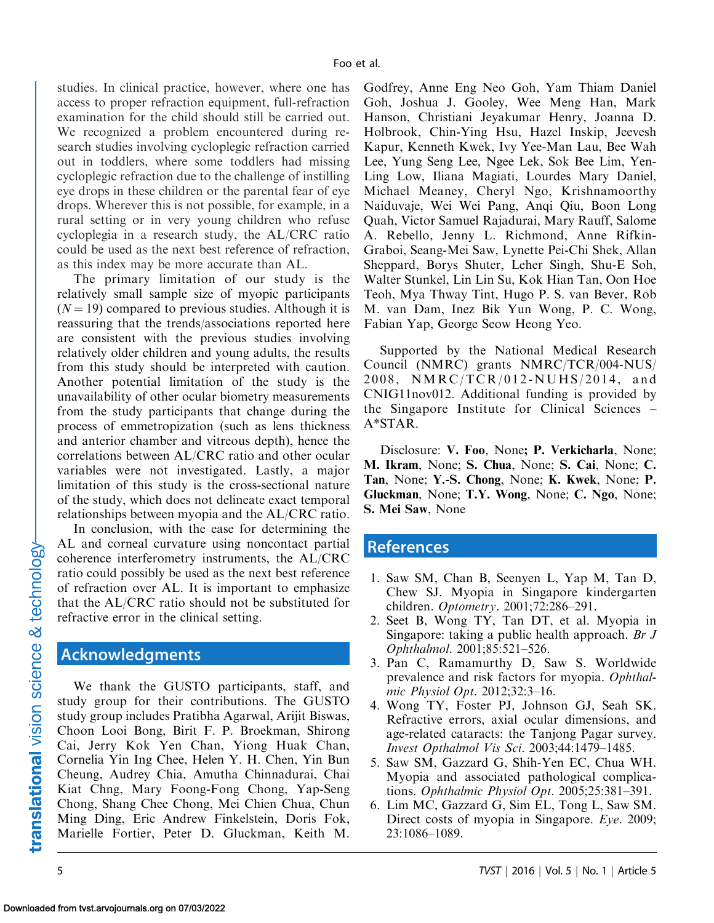<span id="page-4-0"></span>studies. In clinical practice, however, where one has access to proper refraction equipment, full-refraction examination for the child should still be carried out. We recognized a problem encountered during research studies involving cycloplegic refraction carried out in toddlers, where some toddlers had missing cycloplegic refraction due to the challenge of instilling eye drops in these children or the parental fear of eye drops. Wherever this is not possible, for example, in a rural setting or in very young children who refuse cycloplegia in a research study, the AL/CRC ratio could be used as the next best reference of refraction, as this index may be more accurate than AL.

The primary limitation of our study is the relatively small sample size of myopic participants  $(N = 19)$  compared to previous studies. Although it is reassuring that the trends/associations reported here are consistent with the previous studies involving relatively older children and young adults, the results from this study should be interpreted with caution. Another potential limitation of the study is the unavailability of other ocular biometry measurements from the study participants that change during the process of emmetropization (such as lens thickness and anterior chamber and vitreous depth), hence the correlations between AL/CRC ratio and other ocular variables were not investigated. Lastly, a major limitation of this study is the cross-sectional nature of the study, which does not delineate exact temporal relationships between myopia and the AL/CRC ratio.

In conclusion, with the ease for determining the AL and corneal curvature using noncontact partial coherence interferometry instruments, the AL/CRC ratio could possibly be used as the next best reference of refraction over AL. It is important to emphasize that the AL/CRC ratio should not be substituted for refractive error in the clinical setting.

# Acknowledgments

We thank the GUSTO participants, staff, and study group for their contributions. The GUSTO study group includes Pratibha Agarwal, Arijit Biswas, Choon Looi Bong, Birit F. P. Broekman, Shirong Cai, Jerry Kok Yen Chan, Yiong Huak Chan, Cornelia Yin Ing Chee, Helen Y. H. Chen, Yin Bun Cheung, Audrey Chia, Amutha Chinnadurai, Chai Kiat Chng, Mary Foong-Fong Chong, Yap-Seng Chong, Shang Chee Chong, Mei Chien Chua, Chun Ming Ding, Eric Andrew Finkelstein, Doris Fok, Marielle Fortier, Peter D. Gluckman, Keith M. Godfrey, Anne Eng Neo Goh, Yam Thiam Daniel Goh, Joshua J. Gooley, Wee Meng Han, Mark Hanson, Christiani Jeyakumar Henry, Joanna D. Holbrook, Chin-Ying Hsu, Hazel Inskip, Jeevesh Kapur, Kenneth Kwek, Ivy Yee-Man Lau, Bee Wah Lee, Yung Seng Lee, Ngee Lek, Sok Bee Lim, Yen-Ling Low, Iliana Magiati, Lourdes Mary Daniel, Michael Meaney, Cheryl Ngo, Krishnamoorthy Naiduvaje, Wei Wei Pang, Anqi Qiu, Boon Long Quah, Victor Samuel Rajadurai, Mary Rauff, Salome A. Rebello, Jenny L. Richmond, Anne Rifkin-Graboi, Seang-Mei Saw, Lynette Pei-Chi Shek, Allan Sheppard, Borys Shuter, Leher Singh, Shu-E Soh, Walter Stunkel, Lin Lin Su, Kok Hian Tan, Oon Hoe Teoh, Mya Thway Tint, Hugo P. S. van Bever, Rob M. van Dam, Inez Bik Yun Wong, P. C. Wong, Fabian Yap, George Seow Heong Yeo.

Supported by the National Medical Research Council (NMRC) grants NMRC/TCR/004-NUS/ 2008, NMRC/TCR/012-NUHS/2014, and CNIG11nov012. Additional funding is provided by the Singapore Institute for Clinical Sciences – A\*STAR.

Disclosure: V. Foo, None; P. Verkicharla, None; M. Ikram, None; S. Chua, None; S. Cai, None; C. Tan, None; Y.-S. Chong, None; K. Kwek, None; P. Gluckman, None; T.Y. Wong, None; C. Ngo, None; S. Mei Saw, None

### References

- 1. Saw SM, Chan B, Seenyen L, Yap M, Tan D, Chew SJ. Myopia in Singapore kindergarten children. Optometry. 2001;72:286–291.
- 2. Seet B, Wong TY, Tan DT, et al. Myopia in Singapore: taking a public health approach. Br J Ophthalmol. 2001;85:521–526.
- 3. Pan C, Ramamurthy D, Saw S. Worldwide prevalence and risk factors for myopia. Ophthalmic Physiol Opt. 2012;32:3–16.
- 4. Wong TY, Foster PJ, Johnson GJ, Seah SK. Refractive errors, axial ocular dimensions, and age-related cataracts: the Tanjong Pagar survey. Invest Opthalmol Vis Sci. 2003;44:1479–1485.
- 5. Saw SM, Gazzard G, Shih-Yen EC, Chua WH. Myopia and associated pathological complications. Ophthalmic Physiol Opt. 2005;25:381–391.
- 6. Lim MC, Gazzard G, Sim EL, Tong L, Saw SM. Direct costs of myopia in Singapore. Eye. 2009; 23:1086–1089.